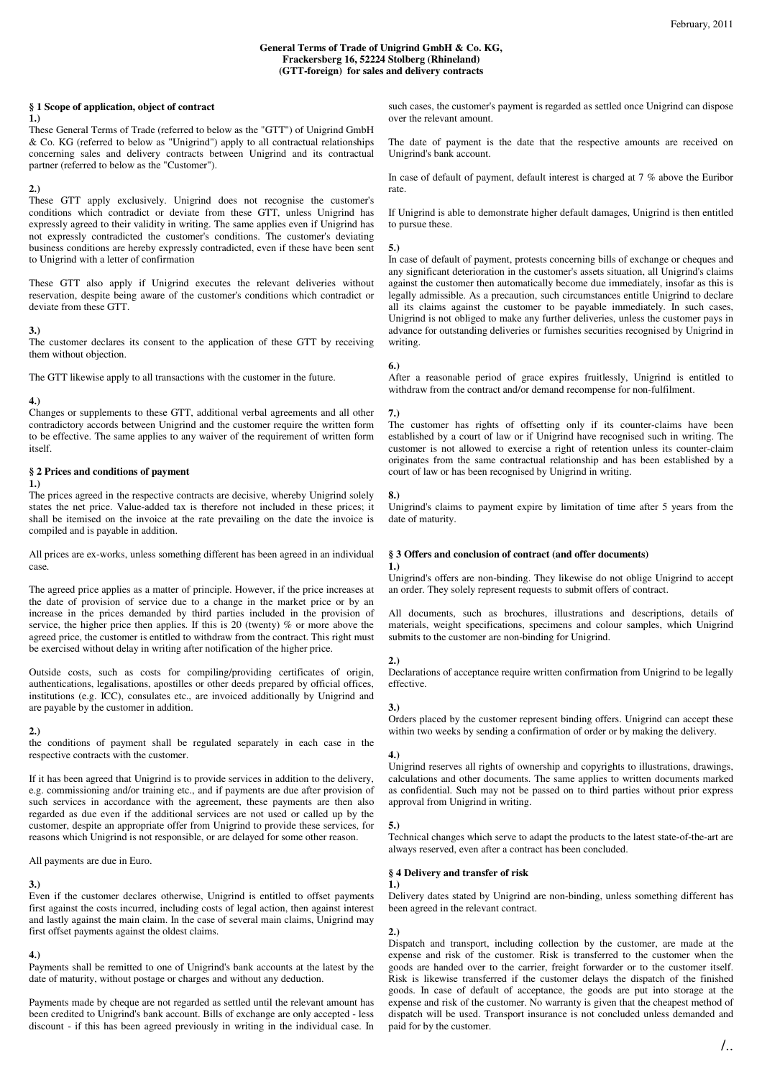## **General Terms of Trade of Unigrind GmbH & Co. KG, Frackersberg 16, 52224 Stolberg (Rhineland) (GTT-foreign) for sales and delivery contracts**

**§ 1 Scope of application, object of contract** 

**1.)** 

These General Terms of Trade (referred to below as the "GTT") of Unigrind GmbH & Co. KG (referred to below as "Unigrind") apply to all contractual relationships concerning sales and delivery contracts between Unigrind and its contractual partner (referred to below as the "Customer").

## **2.)**

These GTT apply exclusively. Unigrind does not recognise the customer's conditions which contradict or deviate from these GTT, unless Unigrind has expressly agreed to their validity in writing. The same applies even if Unigrind has not expressly contradicted the customer's conditions. The customer's deviating business conditions are hereby expressly contradicted, even if these have been sent to Unigrind with a letter of confirmation

These GTT also apply if Unigrind executes the relevant deliveries without reservation, despite being aware of the customer's conditions which contradict or deviate from these GTT.

## **3.)**

The customer declares its consent to the application of these GTT by receiving them without objection.

The GTT likewise apply to all transactions with the customer in the future.

## **4.)**

Changes or supplements to these GTT, additional verbal agreements and all other contradictory accords between Unigrind and the customer require the written form to be effective. The same applies to any waiver of the requirement of written form itself.

## **§ 2 Prices and conditions of payment**

**1.)** 

The prices agreed in the respective contracts are decisive, whereby Unigrind solely states the net price. Value-added tax is therefore not included in these prices; it shall be itemised on the invoice at the rate prevailing on the date the invoice is compiled and is payable in addition.

All prices are ex-works, unless something different has been agreed in an individual case.

The agreed price applies as a matter of principle. However, if the price increases at the date of provision of service due to a change in the market price or by an increase in the prices demanded by third parties included in the provision of service, the higher price then applies. If this is 20 (twenty) % or more above the agreed price, the customer is entitled to withdraw from the contract. This right must be exercised without delay in writing after notification of the higher price.

Outside costs, such as costs for compiling/providing certificates of origin, authentications, legalisations, apostilles or other deeds prepared by official offices, institutions (e.g. ICC), consulates etc., are invoiced additionally by Unigrind and are payable by the customer in addition.

### **2.)**

the conditions of payment shall be regulated separately in each case in the respective contracts with the customer.

If it has been agreed that Unigrind is to provide services in addition to the delivery, e.g. commissioning and/or training etc., and if payments are due after provision of such services in accordance with the agreement, these payments are then also regarded as due even if the additional services are not used or called up by the customer, despite an appropriate offer from Unigrind to provide these services, for reasons which Unigrind is not responsible, or are delayed for some other reason.

All payments are due in Euro.

## **3.)**

Even if the customer declares otherwise, Unigrind is entitled to offset payments first against the costs incurred, including costs of legal action, then against interest and lastly against the main claim. In the case of several main claims, Unigrind may first offset payments against the oldest claims.

## **4.)**

Payments shall be remitted to one of Unigrind's bank accounts at the latest by the date of maturity, without postage or charges and without any deduction.

Payments made by cheque are not regarded as settled until the relevant amount has been credited to Unigrind's bank account. Bills of exchange are only accepted - less discount - if this has been agreed previously in writing in the individual case. In such cases, the customer's payment is regarded as settled once Unigrind can dispose over the relevant amount.

The date of payment is the date that the respective amounts are received on Unigrind's bank account.

In case of default of payment, default interest is charged at 7 % above the Euribor rate.

If Unigrind is able to demonstrate higher default damages, Unigrind is then entitled to pursue these.

## **5.)**

In case of default of payment, protests concerning bills of exchange or cheques and any significant deterioration in the customer's assets situation, all Unigrind's claims against the customer then automatically become due immediately, insofar as this is legally admissible. As a precaution, such circumstances entitle Unigrind to declare all its claims against the customer to be payable immediately. In such cases, Unigrind is not obliged to make any further deliveries, unless the customer pays in advance for outstanding deliveries or furnishes securities recognised by Unigrind in writing.

# **6.)**

After a reasonable period of grace expires fruitlessly, Unigrind is entitled to withdraw from the contract and/or demand recompense for non-fulfilment.

## **7.)**

The customer has rights of offsetting only if its counter-claims have been established by a court of law or if Unigrind have recognised such in writing. The customer is not allowed to exercise a right of retention unless its counter-claim originates from the same contractual relationship and has been established by a court of law or has been recognised by Unigrind in writing.

## **8.)**

Unigrind's claims to payment expire by limitation of time after 5 years from the date of maturity.

## **§ 3 Offers and conclusion of contract (and offer documents) 1.)**

Unigrind's offers are non-binding. They likewise do not oblige Unigrind to accept an order. They solely represent requests to submit offers of contract.

All documents, such as brochures, illustrations and descriptions, details of materials, weight specifications, specimens and colour samples, which Unigrind submits to the customer are non-binding for Unigrind.

## **2.)**

Declarations of acceptance require written confirmation from Unigrind to be legally effective.

# **3.)**

Orders placed by the customer represent binding offers. Unigrind can accept these within two weeks by sending a confirmation of order or by making the delivery.

## **4.)**

Unigrind reserves all rights of ownership and copyrights to illustrations, drawings, calculations and other documents. The same applies to written documents marked as confidential. Such may not be passed on to third parties without prior express approval from Unigrind in writing.

## **5.)**

Technical changes which serve to adapt the products to the latest state-of-the-art are always reserved, even after a contract has been concluded.

### **§ 4 Delivery and transfer of risk 1.)**

Delivery dates stated by Unigrind are non-binding, unless something different has been agreed in the relevant contract.

## **2.)**

Dispatch and transport, including collection by the customer, are made at the expense and risk of the customer. Risk is transferred to the customer when the goods are handed over to the carrier, freight forwarder or to the customer itself. Risk is likewise transferred if the customer delays the dispatch of the finished goods. In case of default of acceptance, the goods are put into storage at the expense and risk of the customer. No warranty is given that the cheapest method of dispatch will be used. Transport insurance is not concluded unless demanded and paid for by the customer.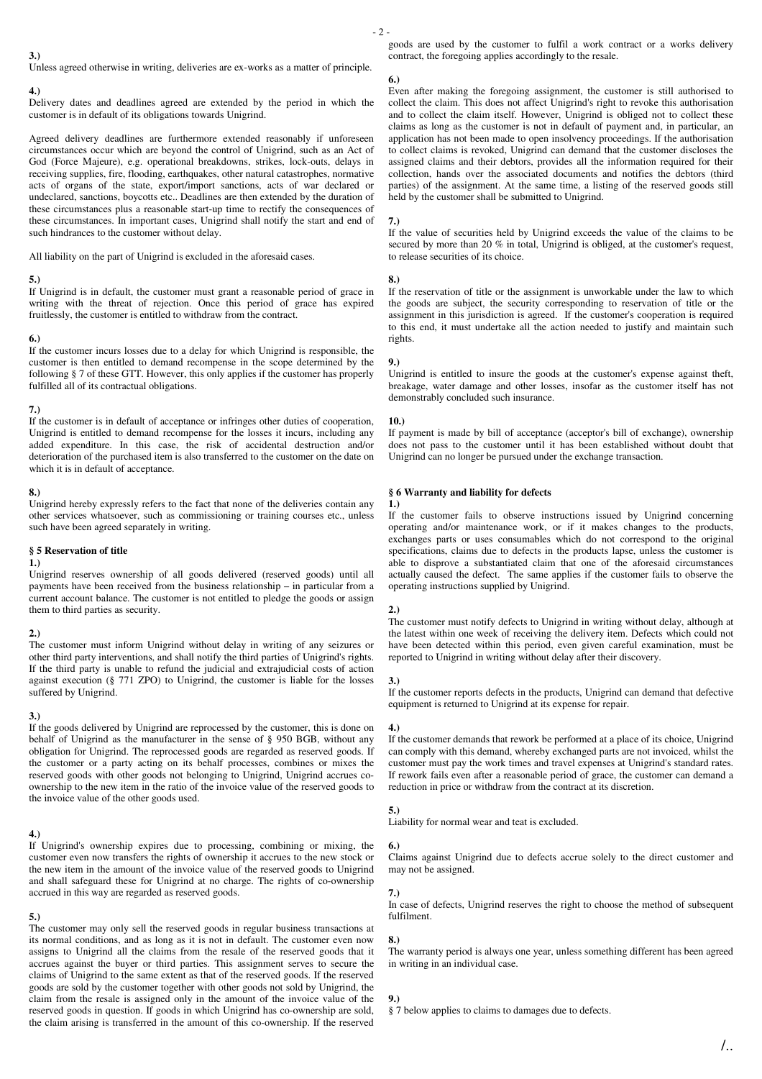Unless agreed otherwise in writing, deliveries are ex-works as a matter of principle.

#### **4.)**

Delivery dates and deadlines agreed are extended by the period in which the customer is in default of its obligations towards Unigrind.

Agreed delivery deadlines are furthermore extended reasonably if unforeseen circumstances occur which are beyond the control of Unigrind, such as an Act of God (Force Majeure), e.g. operational breakdowns, strikes, lock-outs, delays in receiving supplies, fire, flooding, earthquakes, other natural catastrophes, normative acts of organs of the state, export/import sanctions, acts of war declared or undeclared, sanctions, boycotts etc.. Deadlines are then extended by the duration of these circumstances plus a reasonable start-up time to rectify the consequences of these circumstances. In important cases, Unigrind shall notify the start and end of such hindrances to the customer without delay.

All liability on the part of Unigrind is excluded in the aforesaid cases.

### **5.)**

If Unigrind is in default, the customer must grant a reasonable period of grace in writing with the threat of rejection. Once this period of grace has expired fruitlessly, the customer is entitled to withdraw from the contract.

#### **6.)**

If the customer incurs losses due to a delay for which Unigrind is responsible, the customer is then entitled to demand recompense in the scope determined by the following § 7 of these GTT. However, this only applies if the customer has properly fulfilled all of its contractual obligations.

#### **7.)**

If the customer is in default of acceptance or infringes other duties of cooperation, Unigrind is entitled to demand recompense for the losses it incurs, including any added expenditure. In this case, the risk of accidental destruction and/or deterioration of the purchased item is also transferred to the customer on the date on which it is in default of acceptance.

#### **8.)**

Unigrind hereby expressly refers to the fact that none of the deliveries contain any other services whatsoever, such as commissioning or training courses etc., unless such have been agreed separately in writing.

### **§ 5 Reservation of title**

#### **1.)**

Unigrind reserves ownership of all goods delivered (reserved goods) until all payments have been received from the business relationship – in particular from a current account balance. The customer is not entitled to pledge the goods or assign them to third parties as security.

#### **2.)**

The customer must inform Unigrind without delay in writing of any seizures or other third party interventions, and shall notify the third parties of Unigrind's rights. If the third party is unable to refund the judicial and extrajudicial costs of action against execution (§ 771 ZPO) to Unigrind, the customer is liable for the losses suffered by Unigrind.

#### **3.)**

If the goods delivered by Unigrind are reprocessed by the customer, this is done on behalf of Unigrind as the manufacturer in the sense of § 950 BGB, without any obligation for Unigrind. The reprocessed goods are regarded as reserved goods. If the customer or a party acting on its behalf processes, combines or mixes the reserved goods with other goods not belonging to Unigrind, Unigrind accrues coownership to the new item in the ratio of the invoice value of the reserved goods to the invoice value of the other goods used.

#### **4.)**

If Unigrind's ownership expires due to processing, combining or mixing, the customer even now transfers the rights of ownership it accrues to the new stock or the new item in the amount of the invoice value of the reserved goods to Unigrind and shall safeguard these for Unigrind at no charge. The rights of co-ownership accrued in this way are regarded as reserved goods.

### **5.)**

The customer may only sell the reserved goods in regular business transactions at its normal conditions, and as long as it is not in default. The customer even now assigns to Unigrind all the claims from the resale of the reserved goods that it accrues against the buyer or third parties. This assignment serves to secure the claims of Unigrind to the same extent as that of the reserved goods. If the reserved goods are sold by the customer together with other goods not sold by Unigrind, the claim from the resale is assigned only in the amount of the invoice value of the reserved goods in question. If goods in which Unigrind has co-ownership are sold, the claim arising is transferred in the amount of this co-ownership. If the reserved goods are used by the customer to fulfil a work contract or a works delivery contract, the foregoing applies accordingly to the resale.

### **6.)**

Even after making the foregoing assignment, the customer is still authorised to collect the claim. This does not affect Unigrind's right to revoke this authorisation and to collect the claim itself. However, Unigrind is obliged not to collect these claims as long as the customer is not in default of payment and, in particular, an application has not been made to open insolvency proceedings. If the authorisation to collect claims is revoked, Unigrind can demand that the customer discloses the assigned claims and their debtors, provides all the information required for their collection, hands over the associated documents and notifies the debtors (third parties) of the assignment. At the same time, a listing of the reserved goods still held by the customer shall be submitted to Unigrind.

#### **7.)**

If the value of securities held by Unigrind exceeds the value of the claims to be secured by more than 20 % in total, Unigrind is obliged, at the customer's request, to release securities of its choice.

### **8.)**

If the reservation of title or the assignment is unworkable under the law to which the goods are subject, the security corresponding to reservation of title or the assignment in this jurisdiction is agreed. If the customer's cooperation is required to this end, it must undertake all the action needed to justify and maintain such rights.

#### **9.)**

Unigrind is entitled to insure the goods at the customer's expense against theft, breakage, water damage and other losses, insofar as the customer itself has not demonstrably concluded such insurance.

#### **10.)**

If payment is made by bill of acceptance (acceptor's bill of exchange), ownership does not pass to the customer until it has been established without doubt that Unigrind can no longer be pursued under the exchange transaction.

### **§ 6 Warranty and liability for defects**

### **1.)**

If the customer fails to observe instructions issued by Unigrind concerning operating and/or maintenance work, or if it makes changes to the products, exchanges parts or uses consumables which do not correspond to the original specifications, claims due to defects in the products lapse, unless the customer is able to disprove a substantiated claim that one of the aforesaid circumstances actually caused the defect. The same applies if the customer fails to observe the operating instructions supplied by Unigrind.

#### **2.)**

The customer must notify defects to Unigrind in writing without delay, although at the latest within one week of receiving the delivery item. Defects which could not have been detected within this period, even given careful examination, must be reported to Unigrind in writing without delay after their discovery.

### **3.)**

If the customer reports defects in the products, Unigrind can demand that defective equipment is returned to Unigrind at its expense for repair.

#### **4.)**

If the customer demands that rework be performed at a place of its choice, Unigrind can comply with this demand, whereby exchanged parts are not invoiced, whilst the customer must pay the work times and travel expenses at Unigrind's standard rates. If rework fails even after a reasonable period of grace, the customer can demand a reduction in price or withdraw from the contract at its discretion.

# **5.)**

Liability for normal wear and teat is excluded.

# **6.)**

Claims against Unigrind due to defects accrue solely to the direct customer and may not be assigned.

#### **7.)**

In case of defects, Unigrind reserves the right to choose the method of subsequent fulfilment.

## **8.)**

The warranty period is always one year, unless something different has been agreed in writing in an individual case.

#### **9.)**

§ 7 below applies to claims to damages due to defects.